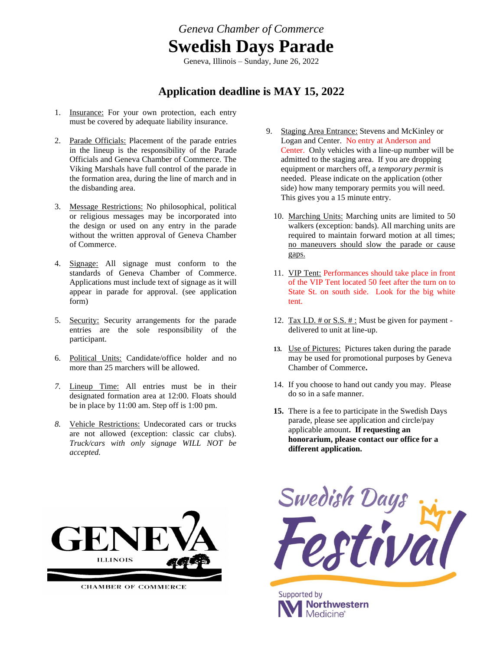*Geneva Chamber of Commerce*  **Swedish Days Parade** Geneva, Illinois – Sunday, June 26, 2022

## **Application deadline is MAY 15, 2022**

- 1. Insurance: For your own protection, each entry must be covered by adequate liability insurance.
- 2. Parade Officials: Placement of the parade entries in the lineup is the responsibility of the Parade Officials and Geneva Chamber of Commerce. The Viking Marshals have full control of the parade in the formation area, during the line of march and in the disbanding area.
- 3. Message Restrictions: No philosophical, political or religious messages may be incorporated into the design or used on any entry in the parade without the written approval of Geneva Chamber of Commerce.
- 4. Signage: All signage must conform to the standards of Geneva Chamber of Commerce. Applications must include text of signage as it will appear in parade for approval. (see application form)
- 5. Security: Security arrangements for the parade entries are the sole responsibility of the participant.
- 6. Political Units: Candidate/office holder and no more than 25 marchers will be allowed.
- *7.* Lineup Time: All entries must be in their designated formation area at 12:00. Floats should be in place by 11:00 am. Step off is 1:00 pm.
- *8.* Vehicle Restrictions: Undecorated cars or trucks are not allowed (exception: classic car clubs). *Truck/cars with only signage WILL NOT be accepted.*
- 9. Staging Area Entrance: Stevens and McKinley or Logan and Center. No entry at Anderson and Center. Only vehicles with a line-up number will be admitted to the staging area. If you are dropping equipment or marchers off, a *temporary permit* is needed. Please indicate on the application (other side) how many temporary permits you will need. This gives you a 15 minute entry.
	- 10. Marching Units: Marching units are limited to 50 walkers (exception: bands). All marching units are required to maintain forward motion at all times; no maneuvers should slow the parade or cause gaps.
	- 11. VIP Tent: Performances should take place in front of the VIP Tent located 50 feet after the turn on to State St. on south side. Look for the big white tent.
	- 12. Tax I.D.  $\#$  or S.S.  $\#$ : Must be given for payment delivered to unit at line-up.
	- **13.** Use of Pictures: Pictures taken during the parade may be used for promotional purposes by Geneva Chamber of Commerce**.**
	- 14. If you choose to hand out candy you may. Please do so in a safe manner.
	- **15.** There is a fee to participate in the Swedish Days parade, please see application and circle/pay applicable amount**. If requesting an honorarium, please contact our office for a different application.**



**CHAMBER OF COMMERCE**